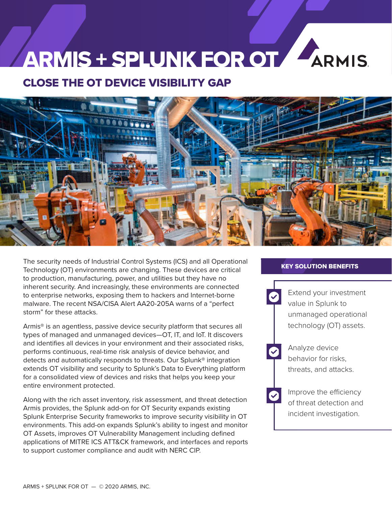# ARMIS + SPLUNK FOR OT ARMIS

## CLOSE THE OT DEVICE VISIBILITY GAP



The security needs of Industrial Control Systems (ICS) and all Operational Technology (OT) environments are changing. These devices are critical to production, manufacturing, power, and utilities but they have no inherent security. And increasingly, these environments are connected to enterprise networks, exposing them to hackers and Internet-borne malware. The recent NSA/CISA Alert AA20-205A warns of a "perfect storm" for these attacks.

Armis® is an agentless, passive device security platform that secures all types of managed and unmanaged devices—OT, IT, and IoT. It discovers and identifies all devices in your environment and their associated risks, performs continuous, real-time risk analysis of device behavior, and detects and automatically responds to threats. Our Splunk® integration extends OT visibility and security to Splunk's Data to Everything platform for a consolidated view of devices and risks that helps you keep your entire environment protected.

Along with the rich asset inventory, risk assessment, and threat detection Armis provides, the Splunk add-on for OT Security expands existing Splunk Enterprise Security frameworks to improve security visibility in OT environments. This add-on expands Splunk's ability to ingest and monitor OT Assets, improves OT Vulnerability Management including defined applications of MITRE ICS ATT&CK framework, and interfaces and reports to support customer compliance and audit with NERC CIP.

#### KEY SOLUTION BENEFITS